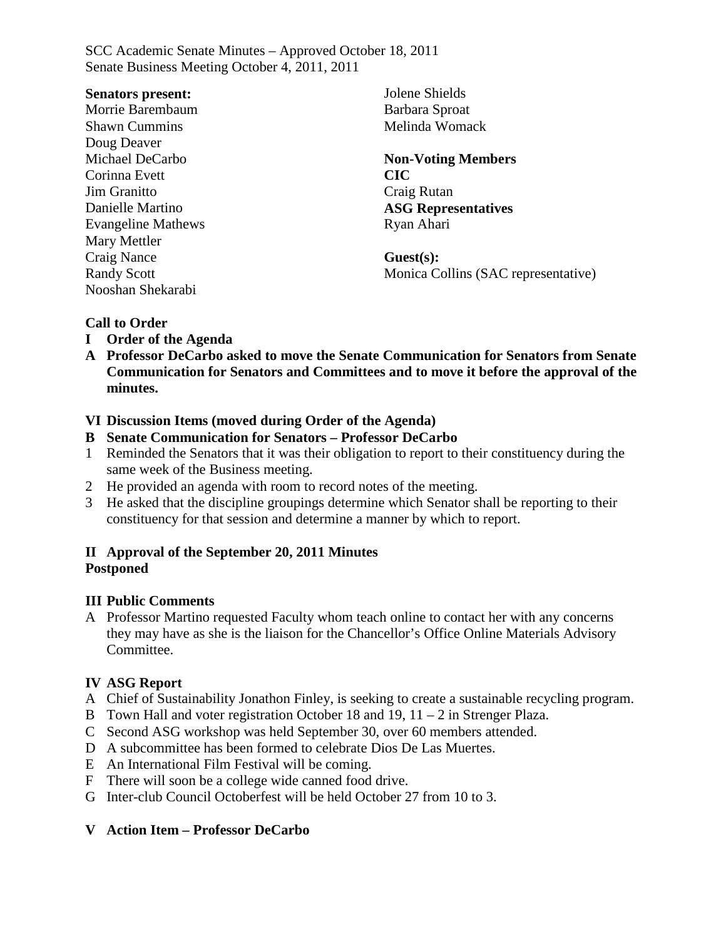#### **Senators present:**

Morrie Barembaum Shawn Cummins Doug Deaver Michael DeCarbo Corinna Evett Jim Granitto Danielle Martino Evangeline Mathews Mary Mettler Craig Nance Randy Scott Nooshan Shekarabi

Jolene Shields Barbara Sproat Melinda Womack

#### **Non-Voting Members CIC** Craig Rutan **ASG Representatives** Ryan Ahari

**Guest(s):** Monica Collins (SAC representative)

#### **Call to Order**

- **I Order of the Agenda**
- **A Professor DeCarbo asked to move the Senate Communication for Senators from Senate Communication for Senators and Committees and to move it before the approval of the minutes.**

#### **VI Discussion Items (moved during Order of the Agenda)**

- **B Senate Communication for Senators – Professor DeCarbo**
- 1 Reminded the Senators that it was their obligation to report to their constituency during the same week of the Business meeting.
- 2 He provided an agenda with room to record notes of the meeting.
- 3 He asked that the discipline groupings determine which Senator shall be reporting to their constituency for that session and determine a manner by which to report.

#### **II Approval of the September 20, 2011 Minutes Postponed**

#### **III Public Comments**

A Professor Martino requested Faculty whom teach online to contact her with any concerns they may have as she is the liaison for the Chancellor's Office Online Materials Advisory Committee.

## **IV ASG Report**

- A Chief of Sustainability Jonathon Finley, is seeking to create a sustainable recycling program.
- B Town Hall and voter registration October 18 and 19, 11 2 in Strenger Plaza.
- C Second ASG workshop was held September 30, over 60 members attended.
- D A subcommittee has been formed to celebrate Dios De Las Muertes.
- E An International Film Festival will be coming.
- F There will soon be a college wide canned food drive.
- G Inter-club Council Octoberfest will be held October 27 from 10 to 3.

#### **V Action Item – Professor DeCarbo**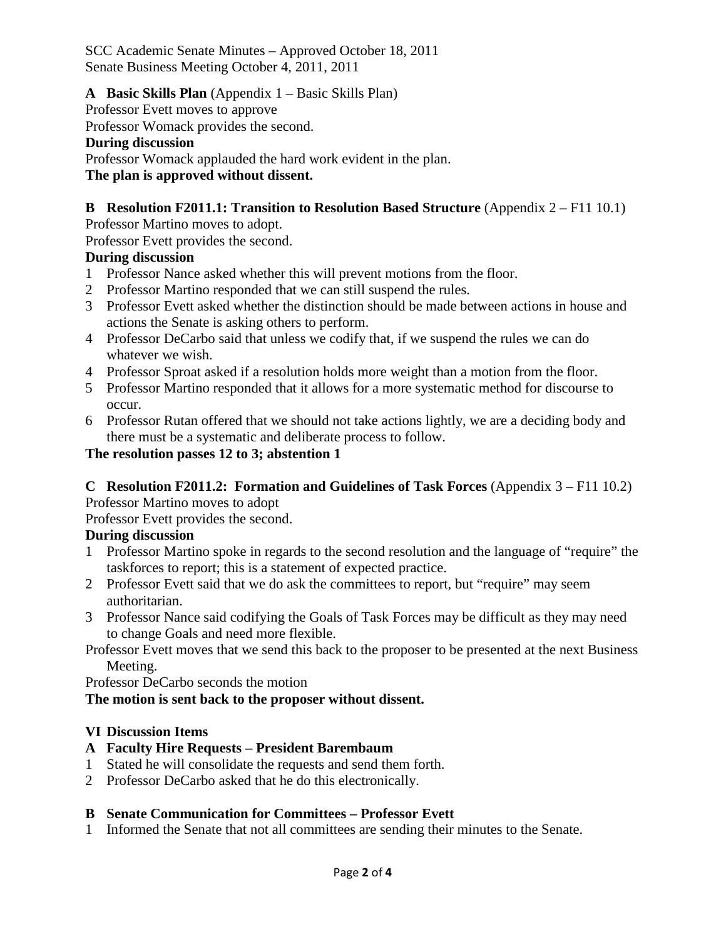### **A Basic Skills Plan** (Appendix 1 – Basic Skills Plan)

Professor Evett moves to approve

Professor Womack provides the second.

#### **During discussion**

Professor Womack applauded the hard work evident in the plan.

### **The plan is approved without dissent.**

## **B Resolution F2011.1: Transition to Resolution Based Structure** (Appendix 2 – F11 10.1)

Professor Martino moves to adopt.

Professor Evett provides the second.

#### **During discussion**

- 1 Professor Nance asked whether this will prevent motions from the floor.
- 2 Professor Martino responded that we can still suspend the rules.
- 3 Professor Evett asked whether the distinction should be made between actions in house and actions the Senate is asking others to perform.
- 4 Professor DeCarbo said that unless we codify that, if we suspend the rules we can do whatever we wish.
- 4 Professor Sproat asked if a resolution holds more weight than a motion from the floor.
- 5 Professor Martino responded that it allows for a more systematic method for discourse to occur.
- 6 Professor Rutan offered that we should not take actions lightly, we are a deciding body and there must be a systematic and deliberate process to follow.

## **The resolution passes 12 to 3; abstention 1**

## **C Resolution F2011.2: Formation and Guidelines of Task Forces** (Appendix 3 – F11 10.2)

Professor Martino moves to adopt

Professor Evett provides the second.

## **During discussion**

- 1 Professor Martino spoke in regards to the second resolution and the language of "require" the taskforces to report; this is a statement of expected practice.
- 2 Professor Evett said that we do ask the committees to report, but "require" may seem authoritarian.
- 3 Professor Nance said codifying the Goals of Task Forces may be difficult as they may need to change Goals and need more flexible.

Professor Evett moves that we send this back to the proposer to be presented at the next Business Meeting.

Professor DeCarbo seconds the motion

## **The motion is sent back to the proposer without dissent.**

## **VI Discussion Items**

## **A Faculty Hire Requests – President Barembaum**

- 1 Stated he will consolidate the requests and send them forth.
- 2 Professor DeCarbo asked that he do this electronically.

## **B Senate Communication for Committees – Professor Evett**

1 Informed the Senate that not all committees are sending their minutes to the Senate.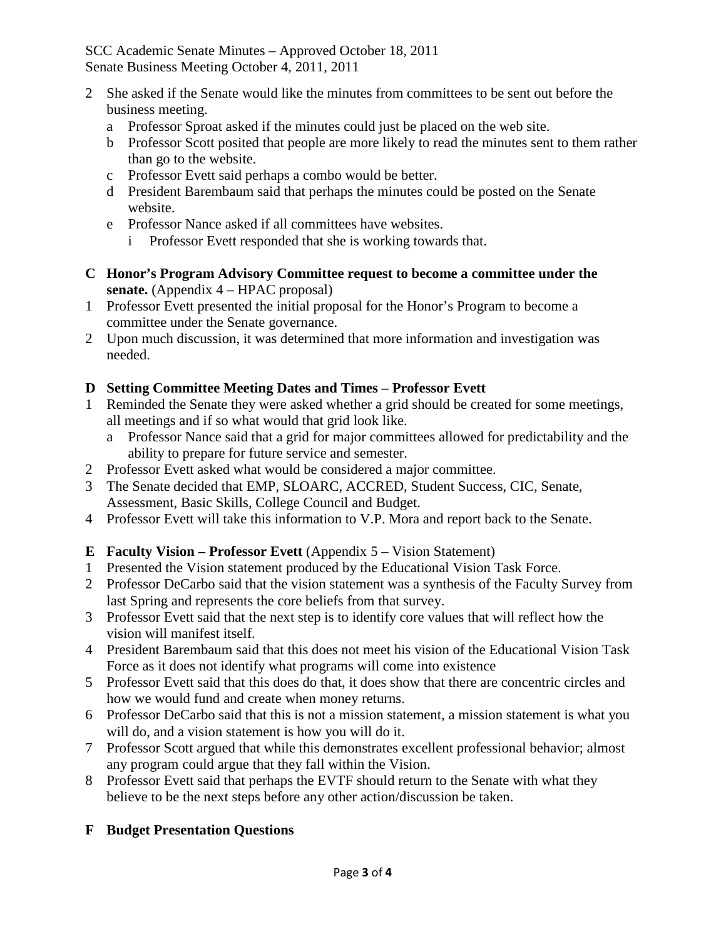- 2 She asked if the Senate would like the minutes from committees to be sent out before the business meeting.
	- a Professor Sproat asked if the minutes could just be placed on the web site.
	- b Professor Scott posited that people are more likely to read the minutes sent to them rather than go to the website.
	- c Professor Evett said perhaps a combo would be better.
	- d President Barembaum said that perhaps the minutes could be posted on the Senate website.
	- e Professor Nance asked if all committees have websites.
		- i Professor Evett responded that she is working towards that.
- **C Honor's Program Advisory Committee request to become a committee under the senate.** (Appendix 4 – HPAC proposal)
- 1 Professor Evett presented the initial proposal for the Honor's Program to become a committee under the Senate governance.
- 2 Upon much discussion, it was determined that more information and investigation was needed.

## **D Setting Committee Meeting Dates and Times – Professor Evett**

- 1 Reminded the Senate they were asked whether a grid should be created for some meetings, all meetings and if so what would that grid look like.
	- a Professor Nance said that a grid for major committees allowed for predictability and the ability to prepare for future service and semester.
- 2 Professor Evett asked what would be considered a major committee.
- 3 The Senate decided that EMP, SLOARC, ACCRED, Student Success, CIC, Senate, Assessment, Basic Skills, College Council and Budget.
- 4 Professor Evett will take this information to V.P. Mora and report back to the Senate.

# **E Faculty Vision – Professor Evett** (Appendix 5 – Vision Statement)

- 1 Presented the Vision statement produced by the Educational Vision Task Force.
- 2 Professor DeCarbo said that the vision statement was a synthesis of the Faculty Survey from last Spring and represents the core beliefs from that survey.
- 3 Professor Evett said that the next step is to identify core values that will reflect how the vision will manifest itself.
- 4 President Barembaum said that this does not meet his vision of the Educational Vision Task Force as it does not identify what programs will come into existence
- 5 Professor Evett said that this does do that, it does show that there are concentric circles and how we would fund and create when money returns.
- 6 Professor DeCarbo said that this is not a mission statement, a mission statement is what you will do, and a vision statement is how you will do it.
- 7 Professor Scott argued that while this demonstrates excellent professional behavior; almost any program could argue that they fall within the Vision.
- 8 Professor Evett said that perhaps the EVTF should return to the Senate with what they believe to be the next steps before any other action/discussion be taken.

# **F Budget Presentation Questions**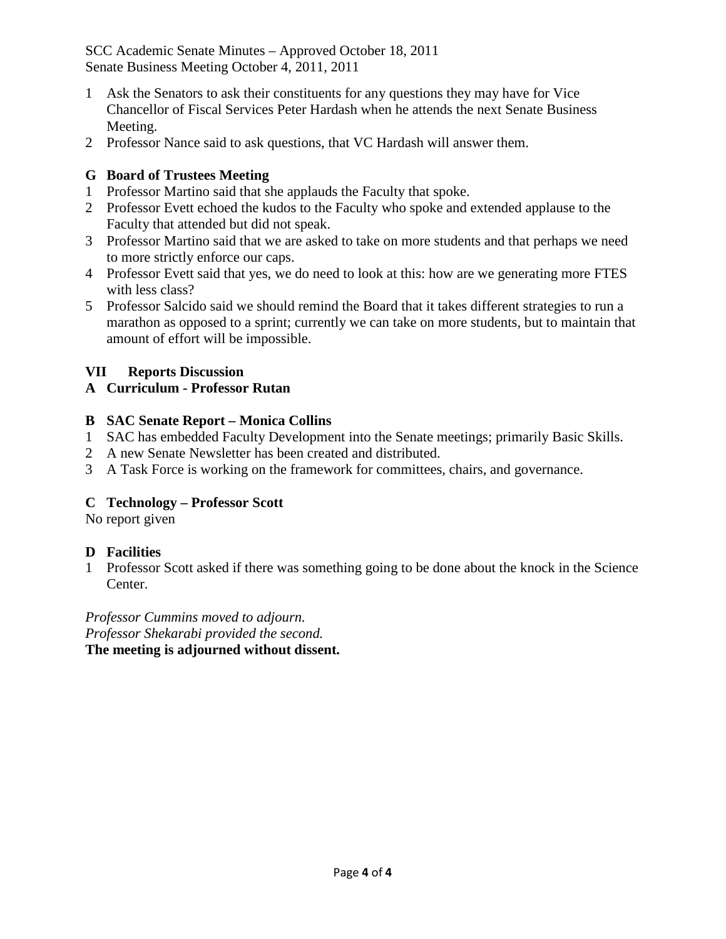- 1 Ask the Senators to ask their constituents for any questions they may have for Vice Chancellor of Fiscal Services Peter Hardash when he attends the next Senate Business Meeting.
- 2 Professor Nance said to ask questions, that VC Hardash will answer them.

## **G Board of Trustees Meeting**

- 1 Professor Martino said that she applauds the Faculty that spoke.
- 2 Professor Evett echoed the kudos to the Faculty who spoke and extended applause to the Faculty that attended but did not speak.
- 3 Professor Martino said that we are asked to take on more students and that perhaps we need to more strictly enforce our caps.
- 4 Professor Evett said that yes, we do need to look at this: how are we generating more FTES with less class?
- 5 Professor Salcido said we should remind the Board that it takes different strategies to run a marathon as opposed to a sprint; currently we can take on more students, but to maintain that amount of effort will be impossible.

#### **VII Reports Discussion**

#### **A Curriculum - Professor Rutan**

#### **B SAC Senate Report – Monica Collins**

- 1 SAC has embedded Faculty Development into the Senate meetings; primarily Basic Skills.
- 2 A new Senate Newsletter has been created and distributed.
- 3 A Task Force is working on the framework for committees, chairs, and governance.

## **C Technology – Professor Scott**

No report given

#### **D Facilities**

1 Professor Scott asked if there was something going to be done about the knock in the Science Center.

*Professor Cummins moved to adjourn. Professor Shekarabi provided the second.* **The meeting is adjourned without dissent.**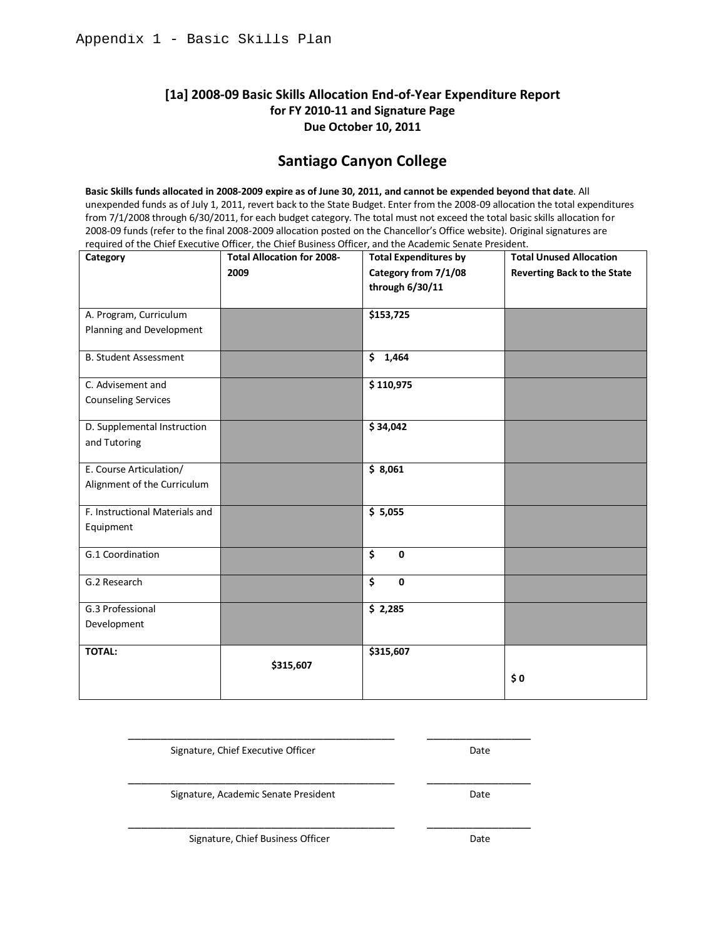#### **[1a] 2008-09 Basic Skills Allocation End-of-Year Expenditure Report for FY 2010-11 and Signature Page Due October 10, 2011**

## **Santiago Canyon College**

**Basic Skills funds allocated in 2008-2009 expire as of June 30, 2011, and cannot be expended beyond that date**. All unexpended funds as of July 1, 2011, revert back to the State Budget. Enter from the 2008-09 allocation the total expenditures from 7/1/2008 through 6/30/2011, for each budget category. The total must not exceed the total basic skills allocation for 2008-09 funds (refer to the final 2008-2009 allocation posted on the Chancellor's Office website). Original signatures are required of the Chief Executive Officer, the Chief Business Officer, and the Academic Senate President.

| Category                       | <b>Total Allocation for 2008-</b> | <b>Total Expenditures by</b>                    | <b>Total Unused Allocation</b>     |
|--------------------------------|-----------------------------------|-------------------------------------------------|------------------------------------|
|                                | 2009                              | Category from 7/1/08                            | <b>Reverting Back to the State</b> |
|                                |                                   | through 6/30/11                                 |                                    |
|                                |                                   |                                                 |                                    |
| A. Program, Curriculum         |                                   | \$153,725                                       |                                    |
| Planning and Development       |                                   |                                                 |                                    |
| <b>B. Student Assessment</b>   |                                   | \$1,464                                         |                                    |
| C. Advisement and              |                                   | \$110,975                                       |                                    |
| <b>Counseling Services</b>     |                                   |                                                 |                                    |
| D. Supplemental Instruction    |                                   | \$34,042                                        |                                    |
|                                |                                   |                                                 |                                    |
| and Tutoring                   |                                   |                                                 |                                    |
| E. Course Articulation/        |                                   | \$8,061                                         |                                    |
| Alignment of the Curriculum    |                                   |                                                 |                                    |
| F. Instructional Materials and |                                   | \$5,055                                         |                                    |
| Equipment                      |                                   |                                                 |                                    |
|                                |                                   |                                                 |                                    |
| G.1 Coordination               |                                   | $\overline{\mathsf{s}}$<br>$\mathbf{0}$         |                                    |
|                                |                                   |                                                 |                                    |
| G.2 Research                   |                                   | $\overline{\boldsymbol{\zeta}}$<br>$\mathbf{0}$ |                                    |
| G.3 Professional               |                                   | \$2,285                                         |                                    |
| Development                    |                                   |                                                 |                                    |
|                                |                                   |                                                 |                                    |
| <b>TOTAL:</b>                  |                                   | \$315,607                                       |                                    |
|                                | \$315,607                         |                                                 | \$0                                |
|                                |                                   |                                                 |                                    |
|                                |                                   |                                                 |                                    |

\_\_\_\_\_\_\_\_\_\_\_\_\_\_\_\_\_\_\_\_\_\_\_\_\_\_\_\_\_\_\_\_\_\_\_\_\_\_\_\_\_ \_\_\_\_\_\_\_\_\_\_\_\_\_\_\_\_

\_\_\_\_\_\_\_\_\_\_\_\_\_\_\_\_\_\_\_\_\_\_\_\_\_\_\_\_\_\_\_\_\_\_\_\_\_\_\_\_\_ \_\_\_\_\_\_\_\_\_\_\_\_\_\_\_\_

Signature, Chief Executive Officer **Date** Date

Signature, Academic Senate President **Date** Date

\_\_\_\_\_\_\_\_\_\_\_\_\_\_\_\_\_\_\_\_\_\_\_\_\_\_\_\_\_\_\_\_\_\_\_\_\_\_\_\_\_ \_\_\_\_\_\_\_\_\_\_\_\_\_\_\_\_

Signature, Chief Business Officer **Date** Date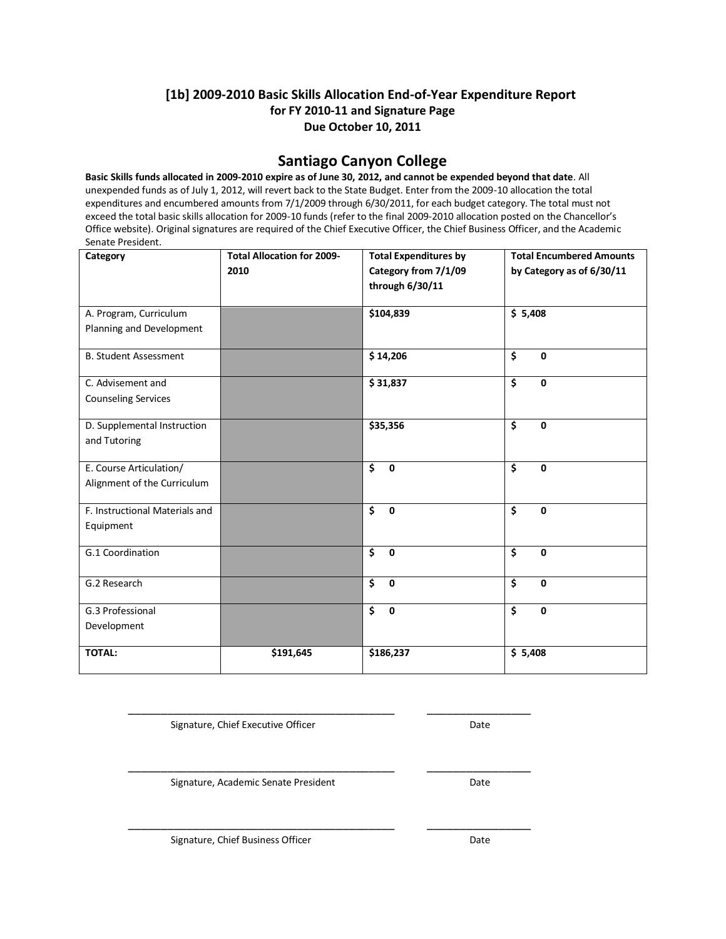#### **[1b] 2009-2010 Basic Skills Allocation End-of-Year Expenditure Report for FY 2010-11 and Signature Page Due October 10, 2011**

#### **Santiago Canyon College**

**Basic Skills funds allocated in 2009-2010 expire as of June 30, 2012, and cannot be expended beyond that date**. All unexpended funds as of July 1, 2012, will revert back to the State Budget. Enter from the 2009-10 allocation the total expenditures and encumbered amounts from 7/1/2009 through 6/30/2011, for each budget category. The total must not exceed the total basic skills allocation for 2009-10 funds (refer to the final 2009-2010 allocation posted on the Chancellor's Office website). Original signatures are required of the Chief Executive Officer, the Chief Business Officer, and the Academic Senate President.

| Category                       | <b>Total Allocation for 2009-</b> | <b>Total Expenditures by</b>                    | <b>Total Encumbered Amounts</b>                |
|--------------------------------|-----------------------------------|-------------------------------------------------|------------------------------------------------|
|                                | 2010                              | Category from 7/1/09                            | by Category as of 6/30/11                      |
|                                |                                   | through 6/30/11                                 |                                                |
|                                |                                   |                                                 |                                                |
| A. Program, Curriculum         |                                   | \$104,839                                       | \$5,408                                        |
| Planning and Development       |                                   |                                                 |                                                |
| <b>B. Student Assessment</b>   |                                   | \$14,206                                        | \$<br>$\mathbf 0$                              |
| C. Advisement and              |                                   | \$31,837                                        | $\overline{\mathsf{s}}$<br>$\mathbf 0$         |
| <b>Counseling Services</b>     |                                   |                                                 |                                                |
|                                |                                   |                                                 |                                                |
| D. Supplemental Instruction    |                                   | \$35,356                                        | $\overline{\boldsymbol{\zeta}}$<br>$\mathbf 0$ |
| and Tutoring                   |                                   |                                                 |                                                |
| E. Course Articulation/        |                                   | \$<br>$\mathbf 0$                               | $\overline{\mathsf{s}}$<br>$\mathbf 0$         |
| Alignment of the Curriculum    |                                   |                                                 |                                                |
|                                |                                   |                                                 |                                                |
| F. Instructional Materials and |                                   | $\overline{\mathsf{s}}$<br>$\mathbf 0$          | $\overline{\boldsymbol{\zeta}}$<br>$\mathbf 0$ |
| Equipment                      |                                   |                                                 |                                                |
| G.1 Coordination               |                                   | \$<br>$\mathbf 0$                               | \$<br>$\mathbf 0$                              |
|                                |                                   |                                                 |                                                |
| G.2 Research                   |                                   | $\overline{\boldsymbol{\zeta}}$<br>$\mathbf{0}$ | \$<br>$\mathbf{0}$                             |
|                                |                                   |                                                 |                                                |
| G.3 Professional               |                                   | $\overline{\boldsymbol{\zeta}}$<br>$\mathbf 0$  | \$<br>$\mathbf 0$                              |
| Development                    |                                   |                                                 |                                                |
| <b>TOTAL:</b>                  | \$191,645                         | \$186,237                                       | \$5,408                                        |
|                                |                                   |                                                 |                                                |

Signature, Chief Executive Officer **Date** Date

\_\_\_\_\_\_\_\_\_\_\_\_\_\_\_\_\_\_\_\_\_\_\_\_\_\_\_\_\_\_\_\_\_\_\_\_\_\_\_\_\_ \_\_\_\_\_\_\_\_\_\_\_\_\_\_\_\_

Signature, Academic Senate President **Date** 

\_\_\_\_\_\_\_\_\_\_\_\_\_\_\_\_\_\_\_\_\_\_\_\_\_\_\_\_\_\_\_\_\_\_\_\_\_\_\_\_\_ \_\_\_\_\_\_\_\_\_\_\_\_\_\_\_\_

\_\_\_\_\_\_\_\_\_\_\_\_\_\_\_\_\_\_\_\_\_\_\_\_\_\_\_\_\_\_\_\_\_\_\_\_\_\_\_\_\_ \_\_\_\_\_\_\_\_\_\_\_\_\_\_\_\_

Signature, Chief Business Officer **Date** Date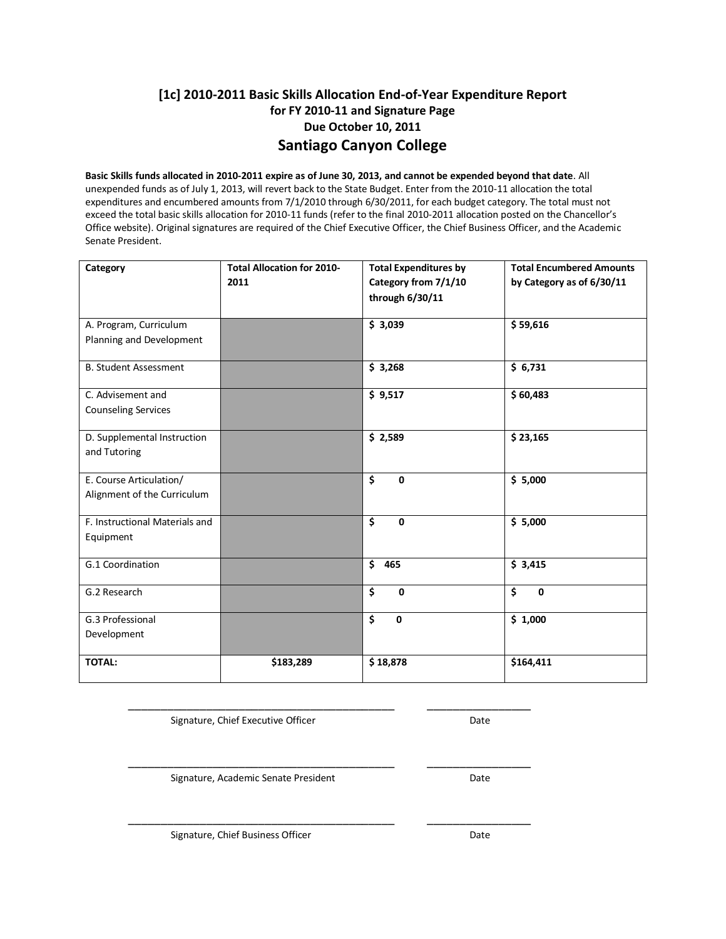### **[1c] 2010-2011 Basic Skills Allocation End-of-Year Expenditure Report for FY 2010-11 and Signature Page Due October 10, 2011 Santiago Canyon College**

**Basic Skills funds allocated in 2010-2011 expire as of June 30, 2013, and cannot be expended beyond that date**. All unexpended funds as of July 1, 2013, will revert back to the State Budget. Enter from the 2010-11 allocation the total expenditures and encumbered amounts from 7/1/2010 through 6/30/2011, for each budget category. The total must not exceed the total basic skills allocation for 2010-11 funds (refer to the final 2010-2011 allocation posted on the Chancellor's Office website). Original signatures are required of the Chief Executive Officer, the Chief Business Officer, and the Academic Senate President.

| Category                       | <b>Total Allocation for 2010-</b> | <b>Total Expenditures by</b>                    | <b>Total Encumbered Amounts</b>        |
|--------------------------------|-----------------------------------|-------------------------------------------------|----------------------------------------|
|                                | 2011                              | Category from 7/1/10                            | by Category as of 6/30/11              |
|                                |                                   | through 6/30/11                                 |                                        |
|                                |                                   |                                                 |                                        |
| A. Program, Curriculum         |                                   | \$3,039                                         | \$59,616                               |
| Planning and Development       |                                   |                                                 |                                        |
| <b>B. Student Assessment</b>   |                                   | \$3,268                                         | \$6,731                                |
| C. Advisement and              |                                   | \$9,517                                         | \$60,483                               |
| <b>Counseling Services</b>     |                                   |                                                 |                                        |
|                                |                                   |                                                 |                                        |
| D. Supplemental Instruction    |                                   | \$2,589                                         | \$23,165                               |
| and Tutoring                   |                                   |                                                 |                                        |
| E. Course Articulation/        |                                   | $\overline{\boldsymbol{\zeta}}$<br>$\mathbf{0}$ | \$5,000                                |
| Alignment of the Curriculum    |                                   |                                                 |                                        |
|                                |                                   |                                                 |                                        |
| F. Instructional Materials and |                                   | \$<br>$\mathbf 0$                               | \$5,000                                |
| Equipment                      |                                   |                                                 |                                        |
|                                |                                   |                                                 |                                        |
| G.1 Coordination               |                                   | \$<br>465                                       | \$3,415                                |
| G.2 Research                   |                                   | $\overline{\mathsf{s}}$<br>0                    | $\overline{\mathsf{s}}$<br>$\mathbf 0$ |
|                                |                                   |                                                 |                                        |
| G.3 Professional               |                                   | $\overline{\boldsymbol{\zeta}}$<br>$\mathbf 0$  | \$1,000                                |
| Development                    |                                   |                                                 |                                        |
|                                |                                   |                                                 |                                        |
| <b>TOTAL:</b>                  | \$183,289                         | \$18,878                                        | \$164,411                              |
|                                |                                   |                                                 |                                        |

\_\_\_\_\_\_\_\_\_\_\_\_\_\_\_\_\_\_\_\_\_\_\_\_\_\_\_\_\_\_\_\_\_\_\_\_\_\_\_\_\_ \_\_\_\_\_\_\_\_\_\_\_\_\_\_\_\_

\_\_\_\_\_\_\_\_\_\_\_\_\_\_\_\_\_\_\_\_\_\_\_\_\_\_\_\_\_\_\_\_\_\_\_\_\_\_\_\_\_ \_\_\_\_\_\_\_\_\_\_\_\_\_\_\_\_

\_\_\_\_\_\_\_\_\_\_\_\_\_\_\_\_\_\_\_\_\_\_\_\_\_\_\_\_\_\_\_\_\_\_\_\_\_\_\_\_\_ \_\_\_\_\_\_\_\_\_\_\_\_\_\_\_\_

Signature, Chief Executive Officer **Date** Date

Signature, Academic Senate President **Date** 

Signature, Chief Business Officer **Date** Date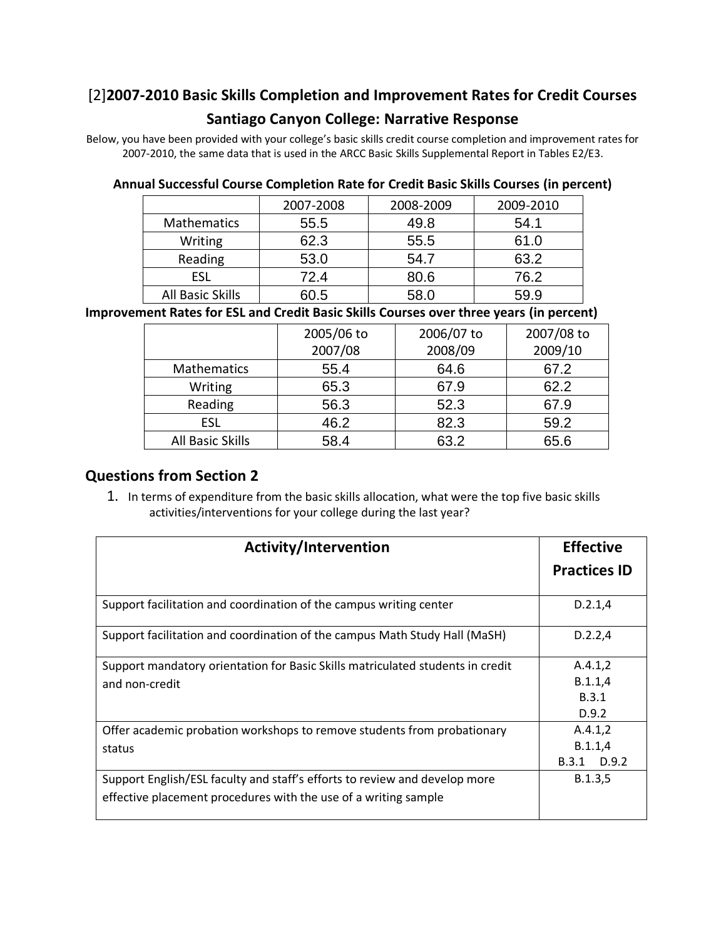# [2]**2007-2010 Basic Skills Completion and Improvement Rates for Credit Courses**

## **Santiago Canyon College: Narrative Response**

Below, you have been provided with your college's basic skills credit course completion and improvement rates for 2007-2010, the same data that is used in the ARCC Basic Skills Supplemental Report in Tables E2/E3.

#### **Annual Successful Course Completion Rate for Credit Basic Skills Courses (in percent)**

|                         | 2007-2008 | 2008-2009 | 2009-2010 |
|-------------------------|-----------|-----------|-----------|
| <b>Mathematics</b>      | 55.5      | 49.8      | 54.1      |
| Writing                 | 62.3      | 55.5      | 61.0      |
| Reading                 | 53.0      | 54.7      | 63.2      |
| <b>ESL</b>              | 72.4      | 80.6      | 76.2      |
| <b>All Basic Skills</b> | 60.5      | 58 O      | 59.9      |

## **Improvement Rates for ESL and Credit Basic Skills Courses over three years (in percent)**

|                         | 2005/06 to | 2006/07 to | 2007/08 to |
|-------------------------|------------|------------|------------|
|                         | 2007/08    | 2008/09    | 2009/10    |
| Mathematics             | 55.4       | 64.6       | 67.2       |
| Writing                 | 65.3       | 67.9       | 62.2       |
| Reading                 | 56.3       | 52.3       | 67.9       |
| <b>ESL</b>              | 46.2       | 82.3       | 59.2       |
| <b>All Basic Skills</b> | 58.4       | 63.2       | 65.6       |

## **Questions from Section 2**

1. In terms of expenditure from the basic skills allocation, what were the top five basic skills activities/interventions for your college during the last year?

| <b>Activity/Intervention</b>                                                   | <b>Effective</b>    |
|--------------------------------------------------------------------------------|---------------------|
|                                                                                | <b>Practices ID</b> |
| Support facilitation and coordination of the campus writing center             | D.2.1,4             |
| Support facilitation and coordination of the campus Math Study Hall (MaSH)     | D.2.2,4             |
| Support mandatory orientation for Basic Skills matriculated students in credit | A.4.1,2             |
| and non-credit                                                                 | B.1.1,4             |
|                                                                                | <b>B.3.1</b>        |
|                                                                                | D.9.2               |
| Offer academic probation workshops to remove students from probationary        | A.4.1,2             |
| status                                                                         | B.1.1,4             |
|                                                                                | B.3.1 D.9.2         |
| Support English/ESL faculty and staff's efforts to review and develop more     | B.1.3,5             |
| effective placement procedures with the use of a writing sample                |                     |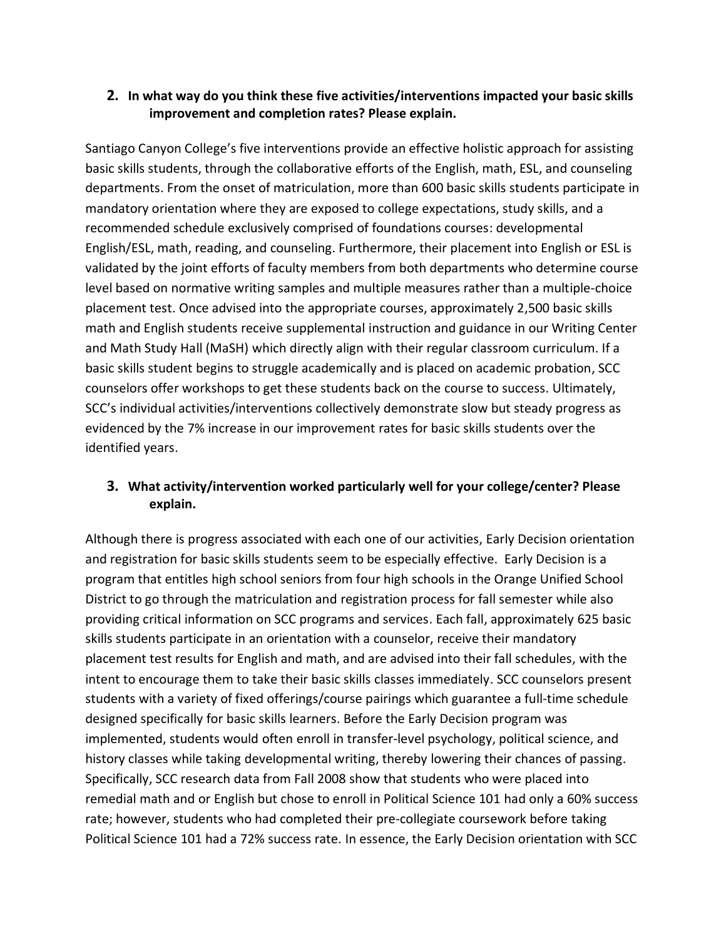#### **2. In what way do you think these five activities/interventions impacted your basic skills improvement and completion rates? Please explain.**

Santiago Canyon College's five interventions provide an effective holistic approach for assisting basic skills students, through the collaborative efforts of the English, math, ESL, and counseling departments. From the onset of matriculation, more than 600 basic skills students participate in mandatory orientation where they are exposed to college expectations, study skills, and a recommended schedule exclusively comprised of foundations courses: developmental English/ESL, math, reading, and counseling. Furthermore, their placement into English or ESL is validated by the joint efforts of faculty members from both departments who determine course level based on normative writing samples and multiple measures rather than a multiple-choice placement test. Once advised into the appropriate courses, approximately 2,500 basic skills math and English students receive supplemental instruction and guidance in our Writing Center and Math Study Hall (MaSH) which directly align with their regular classroom curriculum. If a basic skills student begins to struggle academically and is placed on academic probation, SCC counselors offer workshops to get these students back on the course to success. Ultimately, SCC's individual activities/interventions collectively demonstrate slow but steady progress as evidenced by the 7% increase in our improvement rates for basic skills students over the identified years.

## **3. What activity/intervention worked particularly well for your college/center? Please explain.**

Although there is progress associated with each one of our activities, Early Decision orientation and registration for basic skills students seem to be especially effective. Early Decision is a program that entitles high school seniors from four high schools in the Orange Unified School District to go through the matriculation and registration process for fall semester while also providing critical information on SCC programs and services. Each fall, approximately 625 basic skills students participate in an orientation with a counselor, receive their mandatory placement test results for English and math, and are advised into their fall schedules, with the intent to encourage them to take their basic skills classes immediately. SCC counselors present students with a variety of fixed offerings/course pairings which guarantee a full-time schedule designed specifically for basic skills learners. Before the Early Decision program was implemented, students would often enroll in transfer-level psychology, political science, and history classes while taking developmental writing, thereby lowering their chances of passing. Specifically, SCC research data from Fall 2008 show that students who were placed into remedial math and or English but chose to enroll in Political Science 101 had only a 60% success rate; however, students who had completed their pre-collegiate coursework before taking Political Science 101 had a 72% success rate. In essence, the Early Decision orientation with SCC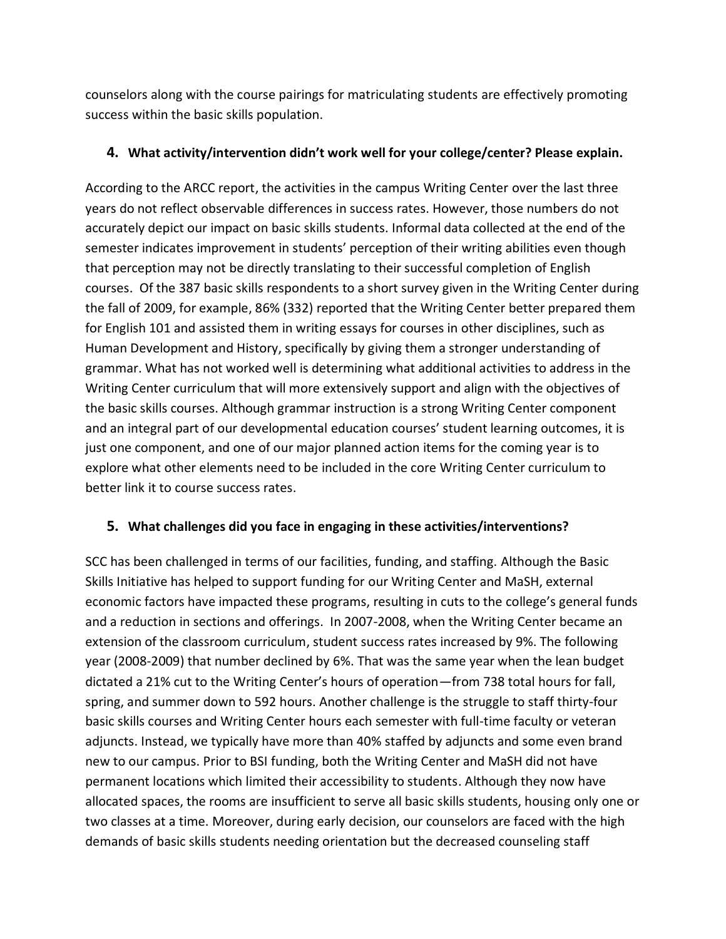counselors along with the course pairings for matriculating students are effectively promoting success within the basic skills population.

#### **4. What activity/intervention didn't work well for your college/center? Please explain.**

According to the ARCC report, the activities in the campus Writing Center over the last three years do not reflect observable differences in success rates. However, those numbers do not accurately depict our impact on basic skills students. Informal data collected at the end of the semester indicates improvement in students' perception of their writing abilities even though that perception may not be directly translating to their successful completion of English courses. Of the 387 basic skills respondents to a short survey given in the Writing Center during the fall of 2009, for example, 86% (332) reported that the Writing Center better prepared them for English 101 and assisted them in writing essays for courses in other disciplines, such as Human Development and History, specifically by giving them a stronger understanding of grammar. What has not worked well is determining what additional activities to address in the Writing Center curriculum that will more extensively support and align with the objectives of the basic skills courses. Although grammar instruction is a strong Writing Center component and an integral part of our developmental education courses' student learning outcomes, it is just one component, and one of our major planned action items for the coming year is to explore what other elements need to be included in the core Writing Center curriculum to better link it to course success rates.

## **5. What challenges did you face in engaging in these activities/interventions?**

SCC has been challenged in terms of our facilities, funding, and staffing. Although the Basic Skills Initiative has helped to support funding for our Writing Center and MaSH, external economic factors have impacted these programs, resulting in cuts to the college's general funds and a reduction in sections and offerings. In 2007-2008, when the Writing Center became an extension of the classroom curriculum, student success rates increased by 9%. The following year (2008-2009) that number declined by 6%. That was the same year when the lean budget dictated a 21% cut to the Writing Center's hours of operation—from 738 total hours for fall, spring, and summer down to 592 hours. Another challenge is the struggle to staff thirty-four basic skills courses and Writing Center hours each semester with full-time faculty or veteran adjuncts. Instead, we typically have more than 40% staffed by adjuncts and some even brand new to our campus. Prior to BSI funding, both the Writing Center and MaSH did not have permanent locations which limited their accessibility to students. Although they now have allocated spaces, the rooms are insufficient to serve all basic skills students, housing only one or two classes at a time. Moreover, during early decision, our counselors are faced with the high demands of basic skills students needing orientation but the decreased counseling staff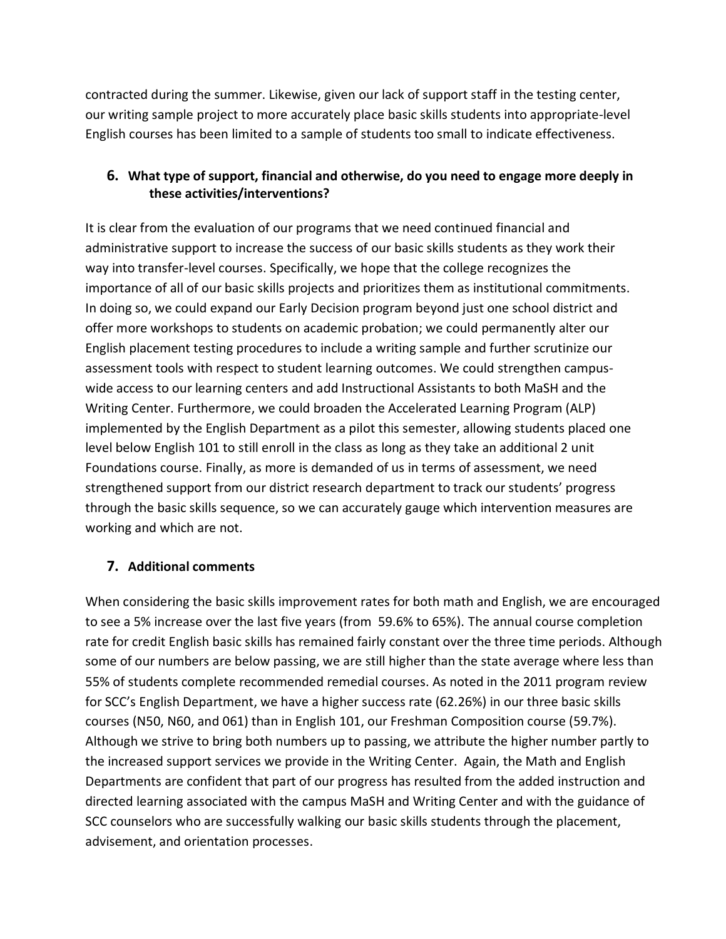contracted during the summer. Likewise, given our lack of support staff in the testing center, our writing sample project to more accurately place basic skills students into appropriate-level English courses has been limited to a sample of students too small to indicate effectiveness.

## **6. What type of support, financial and otherwise, do you need to engage more deeply in these activities/interventions?**

It is clear from the evaluation of our programs that we need continued financial and administrative support to increase the success of our basic skills students as they work their way into transfer-level courses. Specifically, we hope that the college recognizes the importance of all of our basic skills projects and prioritizes them as institutional commitments. In doing so, we could expand our Early Decision program beyond just one school district and offer more workshops to students on academic probation; we could permanently alter our English placement testing procedures to include a writing sample and further scrutinize our assessment tools with respect to student learning outcomes. We could strengthen campuswide access to our learning centers and add Instructional Assistants to both MaSH and the Writing Center. Furthermore, we could broaden the Accelerated Learning Program (ALP) implemented by the English Department as a pilot this semester, allowing students placed one level below English 101 to still enroll in the class as long as they take an additional 2 unit Foundations course. Finally, as more is demanded of us in terms of assessment, we need strengthened support from our district research department to track our students' progress through the basic skills sequence, so we can accurately gauge which intervention measures are working and which are not.

#### **7. Additional comments**

When considering the basic skills improvement rates for both math and English, we are encouraged to see a 5% increase over the last five years (from 59.6% to 65%). The annual course completion rate for credit English basic skills has remained fairly constant over the three time periods. Although some of our numbers are below passing, we are still higher than the state average where less than 55% of students complete recommended remedial courses. As noted in the 2011 program review for SCC's English Department, we have a higher success rate (62.26%) in our three basic skills courses (N50, N60, and 061) than in English 101, our Freshman Composition course (59.7%). Although we strive to bring both numbers up to passing, we attribute the higher number partly to the increased support services we provide in the Writing Center. Again, the Math and English Departments are confident that part of our progress has resulted from the added instruction and directed learning associated with the campus MaSH and Writing Center and with the guidance of SCC counselors who are successfully walking our basic skills students through the placement, advisement, and orientation processes.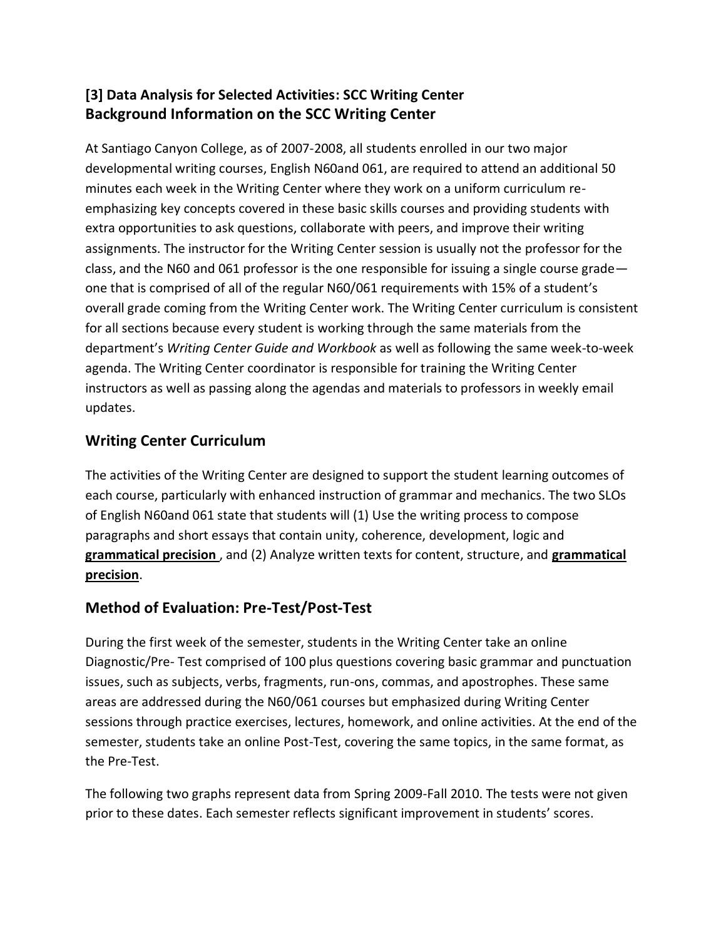# **[3] Data Analysis for Selected Activities: SCC Writing Center Background Information on the SCC Writing Center**

At Santiago Canyon College, as of 2007-2008, all students enrolled in our two major developmental writing courses, English N60and 061, are required to attend an additional 50 minutes each week in the Writing Center where they work on a uniform curriculum reemphasizing key concepts covered in these basic skills courses and providing students with extra opportunities to ask questions, collaborate with peers, and improve their writing assignments. The instructor for the Writing Center session is usually not the professor for the class, and the N60 and 061 professor is the one responsible for issuing a single course grade one that is comprised of all of the regular N60/061 requirements with 15% of a student's overall grade coming from the Writing Center work. The Writing Center curriculum is consistent for all sections because every student is working through the same materials from the department's *Writing Center Guide and Workbook* as well as following the same week-to-week agenda. The Writing Center coordinator is responsible for training the Writing Center instructors as well as passing along the agendas and materials to professors in weekly email updates.

# **Writing Center Curriculum**

The activities of the Writing Center are designed to support the student learning outcomes of each course, particularly with enhanced instruction of grammar and mechanics. The two SLOs of English N60and 061 state that students will (1) Use the writing process to compose paragraphs and short essays that contain unity, coherence, development, logic and **grammatical precision** , and (2) Analyze written texts for content, structure, and **grammatical precision**.

# **Method of Evaluation: Pre-Test/Post-Test**

During the first week of the semester, students in the Writing Center take an online Diagnostic/Pre- Test comprised of 100 plus questions covering basic grammar and punctuation issues, such as subjects, verbs, fragments, run-ons, commas, and apostrophes. These same areas are addressed during the N60/061 courses but emphasized during Writing Center sessions through practice exercises, lectures, homework, and online activities. At the end of the semester, students take an online Post-Test, covering the same topics, in the same format, as the Pre-Test.

The following two graphs represent data from Spring 2009-Fall 2010. The tests were not given prior to these dates. Each semester reflects significant improvement in students' scores.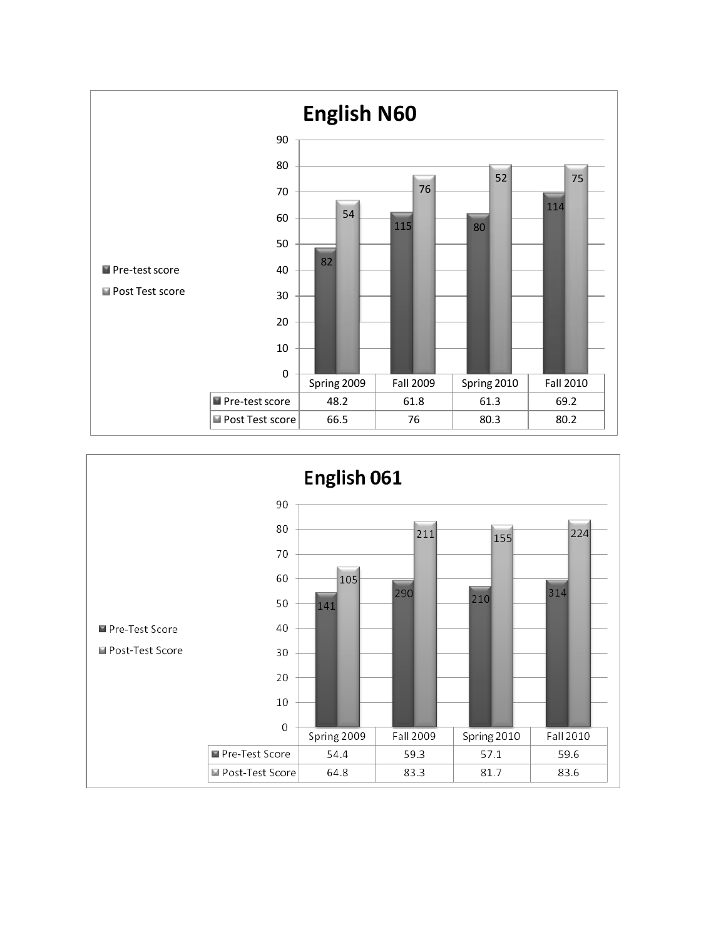

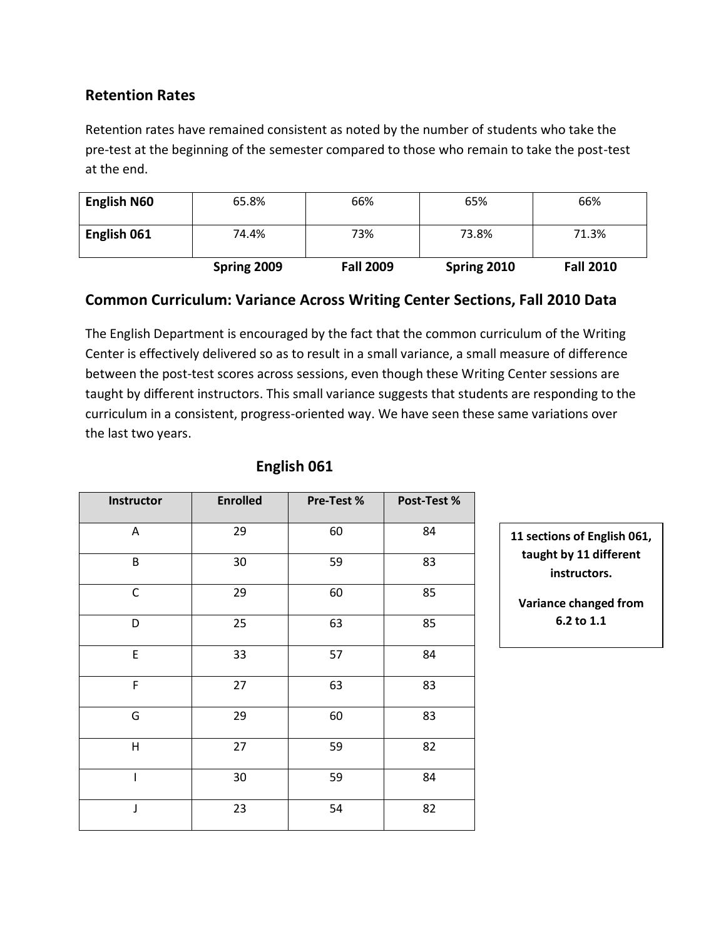## **Retention Rates**

Retention rates have remained consistent as noted by the number of students who take the pre-test at the beginning of the semester compared to those who remain to take the post-test at the end.

| <b>English N60</b> | 65.8%       | 66%              | 65%         | 66%              |
|--------------------|-------------|------------------|-------------|------------------|
| English 061        | 74.4%       | 73%              | 73.8%       | 71.3%            |
|                    | Spring 2009 | <b>Fall 2009</b> | Spring 2010 | <b>Fall 2010</b> |

#### **Common Curriculum: Variance Across Writing Center Sections, Fall 2010 Data**

The English Department is encouraged by the fact that the common curriculum of the Writing Center is effectively delivered so as to result in a small variance, a small measure of difference between the post-test scores across sessions, even though these Writing Center sessions are taught by different instructors. This small variance suggests that students are responding to the curriculum in a consistent, progress-oriented way. We have seen these same variations over the last two years.

| Instructor   | <b>Enrolled</b> | Pre-Test % | Post-Test % |
|--------------|-----------------|------------|-------------|
| Α            | 29              | 60         | 84          |
| B            | 30              | 59         | 83          |
| $\mathsf C$  | 29              | 60         | 85          |
| D            | 25              | 63         | 85          |
| E            | 33              | 57         | 84          |
| F            | 27              | 63         | 83          |
| G            | 29              | 60         | 83          |
| $\mathsf{H}$ | 27              | 59         | 82          |
| I            | 30              | 59         | 84          |
| J            | 23              | 54         | 82          |

## **English 061**

**11 sections of English 061, taught by 11 different instructors.**

**Variance changed from 6.2 to 1.1**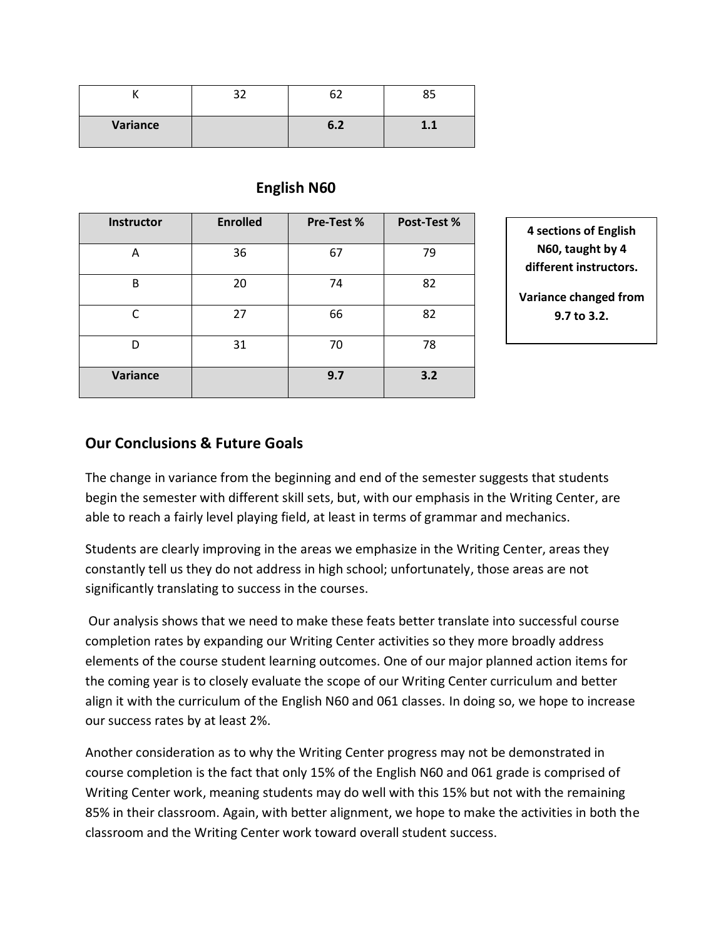|          | ົາ |                |  |
|----------|----|----------------|--|
| Variance |    | $\mathbf{O}$ . |  |

## **English N60**

| Instructor | <b>Enrolled</b> | Pre-Test % | Post-Test % |
|------------|-----------------|------------|-------------|
| А          | 36              | 67         | 79          |
| B          | 20              | 74         | 82          |
| C          | 27              | 66         | 82          |
| D          | 31              | 70         | 78          |
| Variance   |                 | 9.7        | 3.2         |

**4 sections of English N60, taught by 4 different instructors.**

**Variance changed from 9.7 to 3.2.**

#### **Our Conclusions & Future Goals**

The change in variance from the beginning and end of the semester suggests that students begin the semester with different skill sets, but, with our emphasis in the Writing Center, are able to reach a fairly level playing field, at least in terms of grammar and mechanics.

Students are clearly improving in the areas we emphasize in the Writing Center, areas they constantly tell us they do not address in high school; unfortunately, those areas are not significantly translating to success in the courses.

Our analysis shows that we need to make these feats better translate into successful course completion rates by expanding our Writing Center activities so they more broadly address elements of the course student learning outcomes. One of our major planned action items for the coming year is to closely evaluate the scope of our Writing Center curriculum and better align it with the curriculum of the English N60 and 061 classes. In doing so, we hope to increase our success rates by at least 2%.

Another consideration as to why the Writing Center progress may not be demonstrated in course completion is the fact that only 15% of the English N60 and 061 grade is comprised of Writing Center work, meaning students may do well with this 15% but not with the remaining 85% in their classroom. Again, with better alignment, we hope to make the activities in both the classroom and the Writing Center work toward overall student success.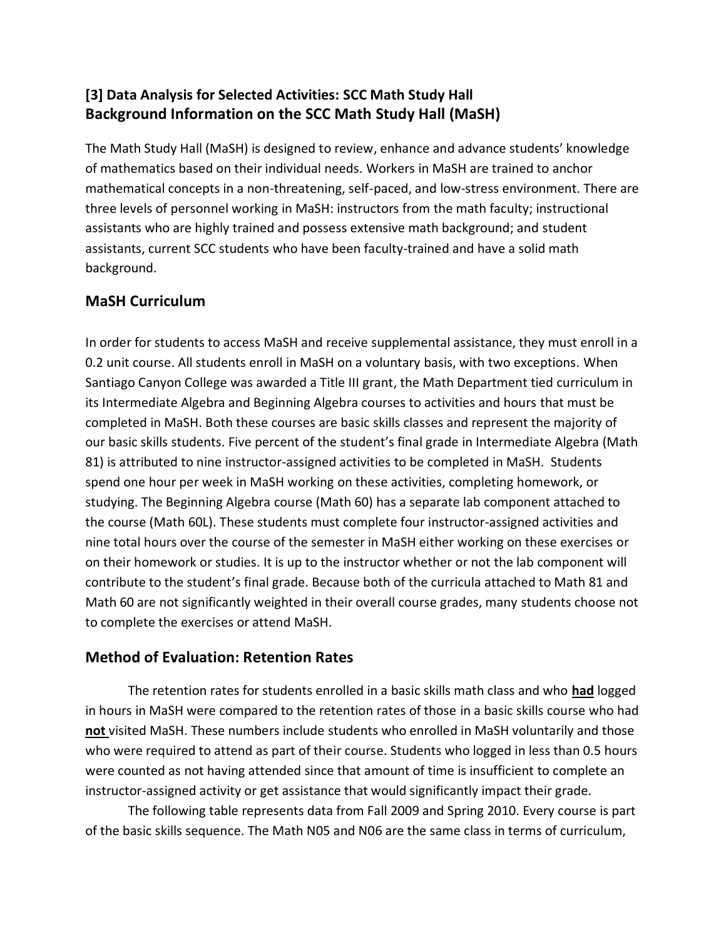# **[3] Data Analysis for Selected Activities: SCC Math Study Hall Background Information on the SCC Math Study Hall (MaSH)**

The Math Study Hall (MaSH) is designed to review, enhance and advance students' knowledge of mathematics based on their individual needs. Workers in MaSH are trained to anchor mathematical concepts in a non-threatening, self-paced, and low-stress environment. There are three levels of personnel working in MaSH: instructors from the math faculty; instructional assistants who are highly trained and possess extensive math background; and student assistants, current SCC students who have been faculty-trained and have a solid math background.

# **MaSH Curriculum**

In order for students to access MaSH and receive supplemental assistance, they must enroll in a 0.2 unit course. All students enroll in MaSH on a voluntary basis, with two exceptions. When Santiago Canyon College was awarded a Title III grant, the Math Department tied curriculum in its Intermediate Algebra and Beginning Algebra courses to activities and hours that must be completed in MaSH. Both these courses are basic skills classes and represent the majority of our basic skills students. Five percent of the student's final grade in Intermediate Algebra (Math 81) is attributed to nine instructor-assigned activities to be completed in MaSH. Students spend one hour per week in MaSH working on these activities, completing homework, or studying. The Beginning Algebra course (Math 60) has a separate lab component attached to the course (Math 60L). These students must complete four instructor-assigned activities and nine total hours over the course of the semester in MaSH either working on these exercises or on their homework or studies. It is up to the instructor whether or not the lab component will contribute to the student's final grade. Because both of the curricula attached to Math 81 and Math 60 are not significantly weighted in their overall course grades, many students choose not to complete the exercises or attend MaSH.

## **Method of Evaluation: Retention Rates**

The retention rates for students enrolled in a basic skills math class and who **had** logged in hours in MaSH were compared to the retention rates of those in a basic skills course who had **not** visited MaSH. These numbers include students who enrolled in MaSH voluntarily and those who were required to attend as part of their course. Students who logged in less than 0.5 hours were counted as not having attended since that amount of time is insufficient to complete an instructor-assigned activity or get assistance that would significantly impact their grade.

The following table represents data from Fall 2009 and Spring 2010. Every course is part of the basic skills sequence. The Math N05 and N06 are the same class in terms of curriculum,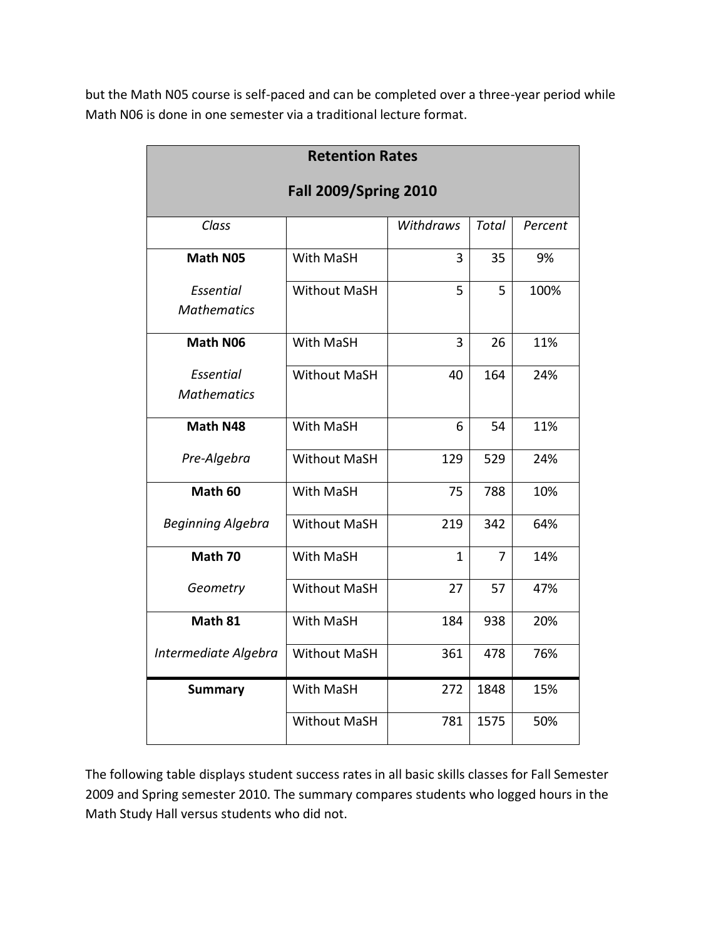but the Math N05 course is self-paced and can be completed over a three-year period while Math N06 is done in one semester via a traditional lecture format.

| <b>Retention Rates</b>       |                     |           |              |         |  |
|------------------------------|---------------------|-----------|--------------|---------|--|
| <b>Fall 2009/Spring 2010</b> |                     |           |              |         |  |
|                              |                     |           |              |         |  |
| Class                        |                     | Withdraws | <b>Total</b> | Percent |  |
| <b>Math N05</b>              | With MaSH           | 3         | 35           | 9%      |  |
| Essential                    | <b>Without MaSH</b> | 5         | 5            | 100%    |  |
| <b>Mathematics</b>           |                     |           |              |         |  |
| Math N06                     | With MaSH           | 3         | 26           | 11%     |  |
| Essential                    | <b>Without MaSH</b> | 40        | 164          | 24%     |  |
| <b>Mathematics</b>           |                     |           |              |         |  |
| Math N48                     | With MaSH           | 6         | 54           | 11%     |  |
| Pre-Algebra                  | <b>Without MaSH</b> | 129       | 529          | 24%     |  |
| Math 60                      | With MaSH           | 75        | 788          | 10%     |  |
| <b>Beginning Algebra</b>     | <b>Without MaSH</b> | 219       | 342          | 64%     |  |
| Math 70                      | <b>With MaSH</b>    | 1         | 7            | 14%     |  |
| Geometry                     | <b>Without MaSH</b> | 27        | 57           | 47%     |  |
| Math 81                      | With MaSH           | 184       | 938          | 20%     |  |
| Intermediate Algebra         | <b>Without MaSH</b> | 361       | 478          | 76%     |  |
| <b>Summary</b>               | With MaSH           | 272       | 1848         | 15%     |  |
|                              | <b>Without MaSH</b> | 781       | 1575         | 50%     |  |

The following table displays student success rates in all basic skills classes for Fall Semester 2009 and Spring semester 2010. The summary compares students who logged hours in the Math Study Hall versus students who did not.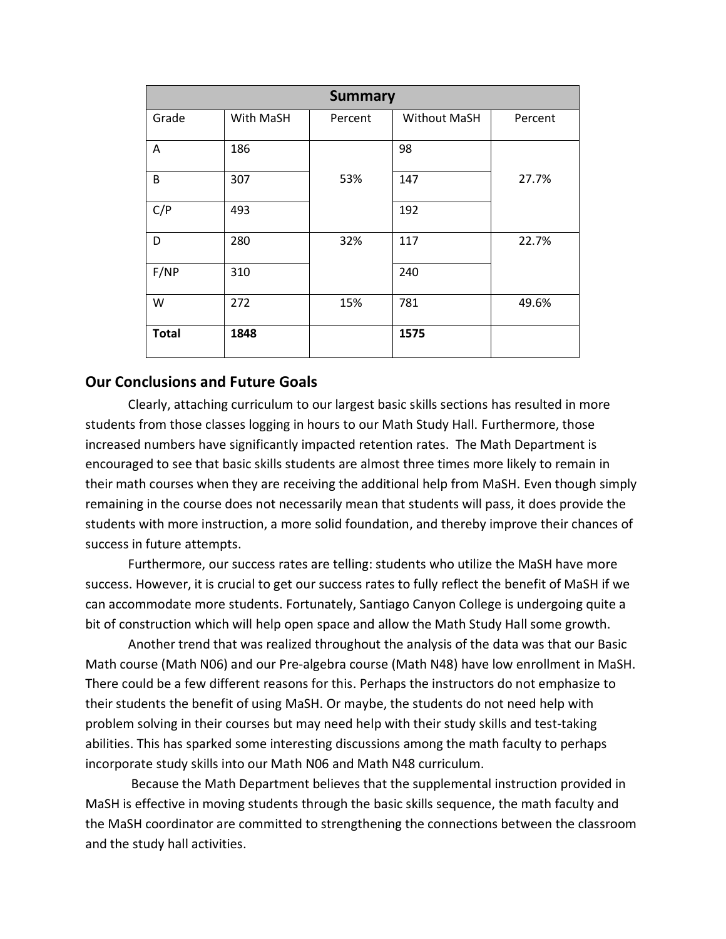| <b>Summary</b> |           |         |              |         |  |
|----------------|-----------|---------|--------------|---------|--|
| Grade          | With MaSH | Percent | Without MaSH | Percent |  |
| A              | 186       |         | 98           |         |  |
| B              | 307       | 53%     | 147          | 27.7%   |  |
| C/P            | 493       |         | 192          |         |  |
| D              | 280       | 32%     | 117          | 22.7%   |  |
| F/NP           | 310       |         | 240          |         |  |
| W              | 272       | 15%     | 781          | 49.6%   |  |
| <b>Total</b>   | 1848      |         | 1575         |         |  |

#### **Our Conclusions and Future Goals**

Clearly, attaching curriculum to our largest basic skills sections has resulted in more students from those classes logging in hours to our Math Study Hall. Furthermore, those increased numbers have significantly impacted retention rates. The Math Department is encouraged to see that basic skills students are almost three times more likely to remain in their math courses when they are receiving the additional help from MaSH. Even though simply remaining in the course does not necessarily mean that students will pass, it does provide the students with more instruction, a more solid foundation, and thereby improve their chances of success in future attempts.

Furthermore, our success rates are telling: students who utilize the MaSH have more success. However, it is crucial to get our success rates to fully reflect the benefit of MaSH if we can accommodate more students. Fortunately, Santiago Canyon College is undergoing quite a bit of construction which will help open space and allow the Math Study Hall some growth.

Another trend that was realized throughout the analysis of the data was that our Basic Math course (Math N06) and our Pre-algebra course (Math N48) have low enrollment in MaSH. There could be a few different reasons for this. Perhaps the instructors do not emphasize to their students the benefit of using MaSH. Or maybe, the students do not need help with problem solving in their courses but may need help with their study skills and test-taking abilities. This has sparked some interesting discussions among the math faculty to perhaps incorporate study skills into our Math N06 and Math N48 curriculum.

Because the Math Department believes that the supplemental instruction provided in MaSH is effective in moving students through the basic skills sequence, the math faculty and the MaSH coordinator are committed to strengthening the connections between the classroom and the study hall activities.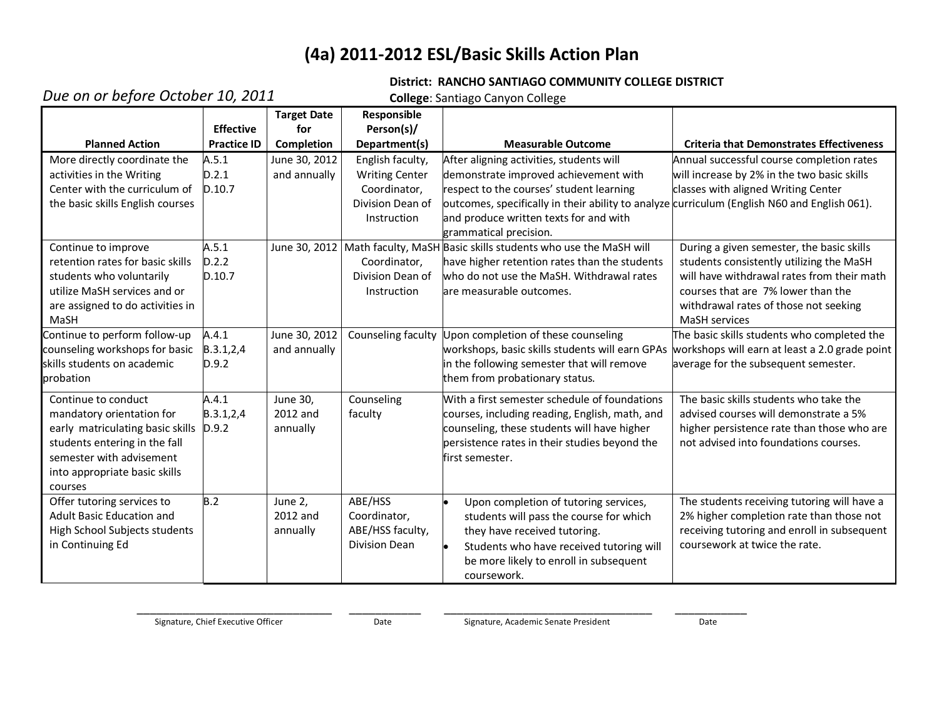# **(4a) 2011-2012 ESL/Basic Skills Action Plan**

#### **District: RANCHO SANTIAGO COMMUNITY COLLEGE DISTRICT**

# *Due on or before October 10, 2011*

**College**: Santiago Canyon College

|                                  |                    | <b>Target Date</b> | Responsible           |                                                                                              |                                                 |
|----------------------------------|--------------------|--------------------|-----------------------|----------------------------------------------------------------------------------------------|-------------------------------------------------|
|                                  | <b>Effective</b>   | for                | Person(s)/            |                                                                                              |                                                 |
| <b>Planned Action</b>            | <b>Practice ID</b> | Completion         | Department(s)         | <b>Measurable Outcome</b>                                                                    | <b>Criteria that Demonstrates Effectiveness</b> |
| More directly coordinate the     | A.5.1              | June 30, 2012      | English faculty,      | After aligning activities, students will                                                     | Annual successful course completion rates       |
| activities in the Writing        | D.2.1              | and annually       | <b>Writing Center</b> | demonstrate improved achievement with                                                        | will increase by 2% in the two basic skills     |
| Center with the curriculum of    | D.10.7             |                    | Coordinator,          | respect to the courses' student learning                                                     | classes with aligned Writing Center             |
| the basic skills English courses |                    |                    | Division Dean of      | outcomes, specifically in their ability to analyze curriculum (English N60 and English 061). |                                                 |
|                                  |                    |                    | Instruction           | and produce written texts for and with                                                       |                                                 |
|                                  |                    |                    |                       | grammatical precision.                                                                       |                                                 |
| Continue to improve              | A.5.1              |                    |                       | June 30, 2012 Math faculty, MaSH Basic skills students who use the MaSH will                 | During a given semester, the basic skills       |
| retention rates for basic skills | D.2.2              |                    | Coordinator,          | have higher retention rates than the students                                                | students consistently utilizing the MaSH        |
| students who voluntarily         | D.10.7             |                    | Division Dean of      | who do not use the MaSH. Withdrawal rates                                                    | will have withdrawal rates from their math      |
| utilize MaSH services and or     |                    |                    | Instruction           | lare measurable outcomes.                                                                    | courses that are 7% lower than the              |
| are assigned to do activities in |                    |                    |                       |                                                                                              | withdrawal rates of those not seeking           |
| MaSH                             |                    |                    |                       |                                                                                              | <b>MaSH</b> services                            |
| Continue to perform follow-up    | A.4.1              | June 30, 2012      | Counseling faculty    | Upon completion of these counseling                                                          | The basic skills students who completed the     |
| counseling workshops for basic   | B.3.1, 2, 4        | and annually       |                       | workshops, basic skills students will earn GPAs                                              | workshops will earn at least a 2.0 grade point  |
| skills students on academic      | D.9.2              |                    |                       | in the following semester that will remove                                                   | average for the subsequent semester.            |
| probation                        |                    |                    |                       | them from probationary status.                                                               |                                                 |
| Continue to conduct              | A.4.1              | June 30,           | Counseling            | With a first semester schedule of foundations                                                | The basic skills students who take the          |
| mandatory orientation for        | B.3.1, 2, 4        | 2012 and           | faculty               | courses, including reading, English, math, and                                               | advised courses will demonstrate a 5%           |
| early matriculating basic skills | D.9.2              | annually           |                       | counseling, these students will have higher                                                  | higher persistence rate than those who are      |
| students entering in the fall    |                    |                    |                       | persistence rates in their studies beyond the                                                | not advised into foundations courses.           |
| semester with advisement         |                    |                    |                       | first semester.                                                                              |                                                 |
| into appropriate basic skills    |                    |                    |                       |                                                                                              |                                                 |
| courses                          |                    |                    |                       |                                                                                              |                                                 |
| Offer tutoring services to       | B.2                | June 2,            | ABE/HSS               | Upon completion of tutoring services,                                                        | The students receiving tutoring will have a     |
| Adult Basic Education and        |                    | 2012 and           | Coordinator,          | students will pass the course for which                                                      | 2% higher completion rate than those not        |
| High School Subjects students    |                    | annually           | ABE/HSS faculty,      | they have received tutoring.                                                                 | receiving tutoring and enroll in subsequent     |
| in Continuing Ed                 |                    |                    | Division Dean         | Students who have received tutoring will                                                     | coursework at twice the rate.                   |
|                                  |                    |                    |                       | be more likely to enroll in subsequent                                                       |                                                 |
|                                  |                    |                    |                       | coursework.                                                                                  |                                                 |

\_\_\_\_\_\_\_\_\_\_\_\_\_\_\_\_\_\_\_\_\_\_\_\_\_\_\_\_\_\_ \_\_\_\_\_\_\_\_\_\_\_ \_\_\_\_\_\_\_\_\_\_\_\_\_\_\_\_\_\_\_\_\_\_\_\_\_\_\_\_\_\_\_\_ \_\_\_\_\_\_\_\_\_\_\_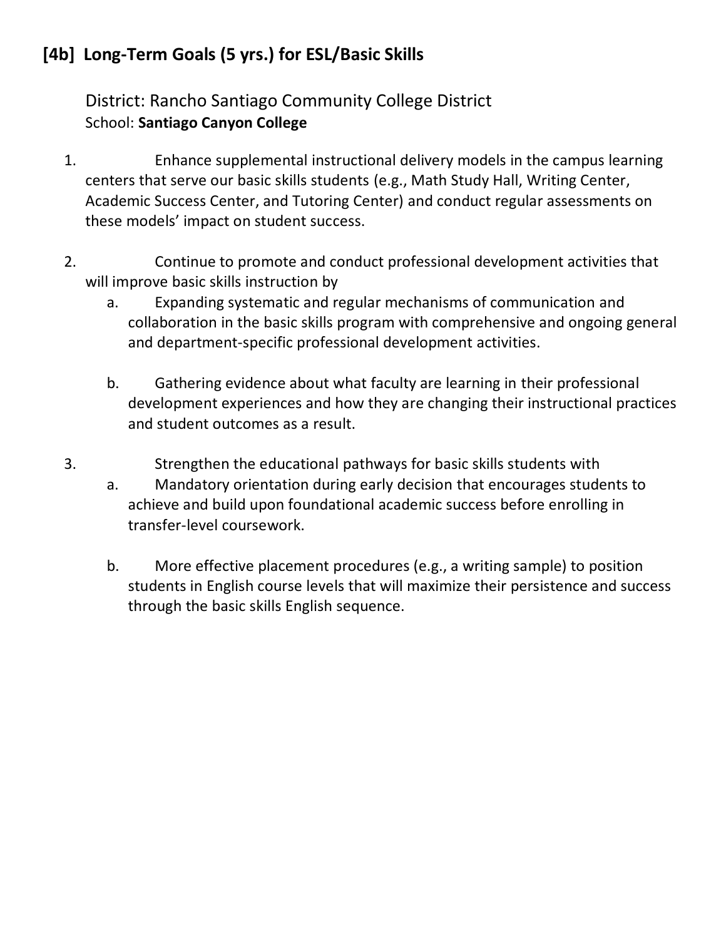# **[4b] Long-Term Goals (5 yrs.) for ESL/Basic Skills**

District: Rancho Santiago Community College District School: **Santiago Canyon College**

- 1. Enhance supplemental instructional delivery models in the campus learning centers that serve our basic skills students (e.g., Math Study Hall, Writing Center, Academic Success Center, and Tutoring Center) and conduct regular assessments on these models' impact on student success.
- 2. Continue to promote and conduct professional development activities that will improve basic skills instruction by
	- a. Expanding systematic and regular mechanisms of communication and collaboration in the basic skills program with comprehensive and ongoing general and department-specific professional development activities.
	- b. Gathering evidence about what faculty are learning in their professional development experiences and how they are changing their instructional practices and student outcomes as a result.
- 3. Strengthen the educational pathways for basic skills students with
	- a. Mandatory orientation during early decision that encourages students to achieve and build upon foundational academic success before enrolling in transfer-level coursework.
	- b. More effective placement procedures (e.g., a writing sample) to position students in English course levels that will maximize their persistence and success through the basic skills English sequence.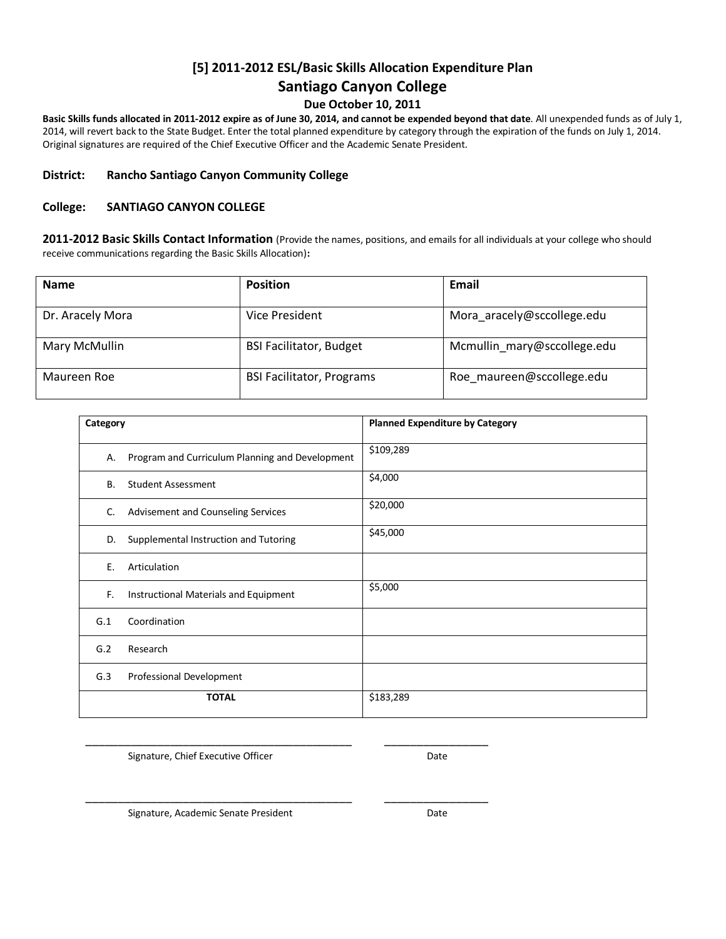## **[5] 2011-2012 ESL/Basic Skills Allocation Expenditure Plan**

#### **Santiago Canyon College**

#### **Due October 10, 2011**

**Basic Skills funds allocated in 2011-2012 expire as of June 30, 2014, and cannot be expended beyond that date**. All unexpended funds as of July 1, 2014, will revert back to the State Budget. Enter the total planned expenditure by category through the expiration of the funds on July 1, 2014. Original signatures are required of the Chief Executive Officer and the Academic Senate President.

#### **District: Rancho Santiago Canyon Community College**

#### **College: SANTIAGO CANYON COLLEGE**

**2011-2012 Basic Skills Contact Information** (Provide the names, positions, and emails for all individuals at your college who should receive communications regarding the Basic Skills Allocation)**:**

| <b>Name</b>      | <b>Position</b>                  | Email                       |
|------------------|----------------------------------|-----------------------------|
| Dr. Aracely Mora | Vice President                   | Mora aracely@sccollege.edu  |
| Mary McMullin    | <b>BSI Facilitator, Budget</b>   | Mcmullin mary@sccollege.edu |
| Maureen Roe      | <b>BSI Facilitator, Programs</b> | Roe maureen@sccollege.edu   |

| Category  |                                                 | <b>Planned Expenditure by Category</b> |
|-----------|-------------------------------------------------|----------------------------------------|
| А.        | Program and Curriculum Planning and Development | \$109,289                              |
| <b>B.</b> | <b>Student Assessment</b>                       | \$4,000                                |
| C.        | Advisement and Counseling Services              | \$20,000                               |
| D.        | Supplemental Instruction and Tutoring           | \$45,000                               |
| Ε.        | Articulation                                    |                                        |
| F.        | Instructional Materials and Equipment           | \$5,000                                |
| G.1       | Coordination                                    |                                        |
| G.2       | Research                                        |                                        |
| G.3       | Professional Development                        |                                        |
|           | <b>TOTAL</b>                                    | \$183,289                              |

Signature, Chief Executive Officer **Date** Date

\_\_\_\_\_\_\_\_\_\_\_\_\_\_\_\_\_\_\_\_\_\_\_\_\_\_\_\_\_\_\_\_\_\_\_\_\_\_\_\_\_ \_\_\_\_\_\_\_\_\_\_\_\_\_\_\_\_

\_\_\_\_\_\_\_\_\_\_\_\_\_\_\_\_\_\_\_\_\_\_\_\_\_\_\_\_\_\_\_\_\_\_\_\_\_\_\_\_\_ \_\_\_\_\_\_\_\_\_\_\_\_\_\_\_\_

Signature, Academic Senate President **Date** Date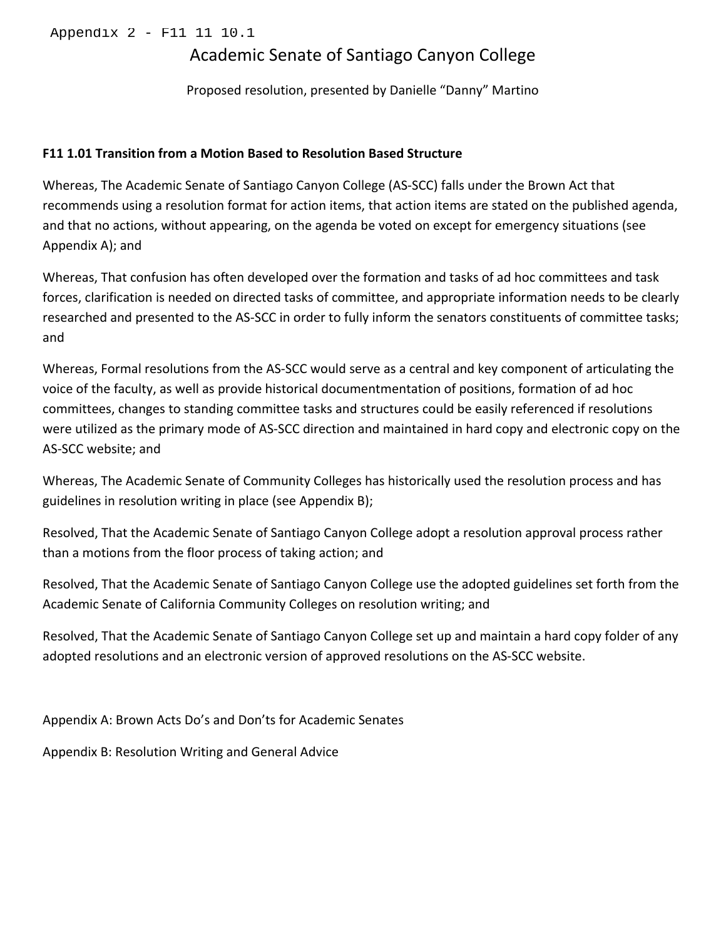# Academic Senate of Santiago Canyon College

Proposed resolution, presented by Danielle "Danny" Martino

#### F11 1.01 Transition from a Motion Based to Resolution Based Structure

Whereas, The Academic Senate of Santiago Canyon College (AS-SCC) falls under the Brown Act that recommends using a resolution format for action items, that action items are stated on the published agenda, and that no actions, without appearing, on the agenda be voted on except for emergency situations (see Appendix A); and

Whereas, That confusion has often developed over the formation and tasks of ad hoc committees and task forces, clarification is needed on directed tasks of committee, and appropriate information needs to be clearly researched and presented to the AS-SCC in order to fully inform the senators constituents of committee tasks; and

Whereas, Formal resolutions from the AS-SCC would serve as a central and key component of articulating the voice of the faculty, as well as provide historical documentmentation of positions, formation of ad hoc committees, changes to standing committee tasks and structures could be easily referenced if resolutions were utilized as the primary mode of AS-SCC direction and maintained in hard copy and electronic copy on the AS-SCC website; and

Whereas, The Academic Senate of Community Colleges has historically used the resolution process and has guidelines in resolution writing in place (see Appendix B);

Resolved, That the Academic Senate of Santiago Canyon College adopt a resolution approval process rather than a motions from the floor process of taking action; and

Resolved, That the Academic Senate of Santiago Canyon College use the adopted guidelines set forth from the Academic Senate of California Community Colleges on resolution writing; and

Resolved, That the Academic Senate of Santiago Canyon College set up and maintain a hard copy folder of any adopted resolutions and an electronic version of approved resolutions on the AS-SCC website.

Appendix A: Brown Acts Do's and Don'ts for Academic Senates

Appendix B: Resolution Writing and General Advice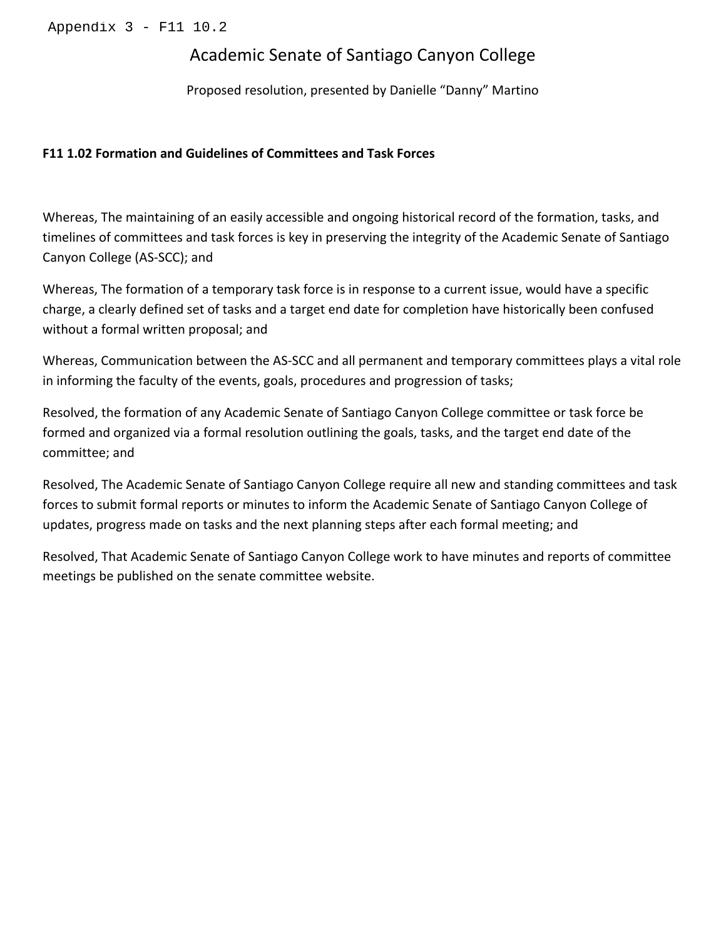# Academic Senate of Santiago Canyon College

Proposed resolution, presented by Danielle "Danny" Martino

#### F11 1.02 Formation and Guidelines of Committees and Task Forces

Whereas, The maintaining of an easily accessible and ongoing historical record of the formation, tasks, and timelines of committees and task forces is key in preserving the integrity of the Academic Senate of Santiago Canyon College (AS-SCC); and

Whereas, The formation of a temporary task force is in response to a current issue, would have a specific charge, a clearly defined set of tasks and a target end date for completion have historically been confused without a formal written proposal; and

Whereas, Communication between the AS-SCC and all permanent and temporary committees plays a vital role in informing the faculty of the events, goals, procedures and progression of tasks;

Resolved, the formation of any Academic Senate of Santiago Canyon College committee or task force be formed and organized via a formal resolution outlining the goals, tasks, and the target end date of the committee; and

Resolved, The Academic Senate of Santiago Canyon College require all new and standing committees and task forces to submit formal reports or minutes to inform the Academic Senate of Santiago Canyon College of updates, progress made on tasks and the next planning steps after each formal meeting; and

Resolved, That Academic Senate of Santiago Canyon College work to have minutes and reports of committee meetings be published on the senate committee website.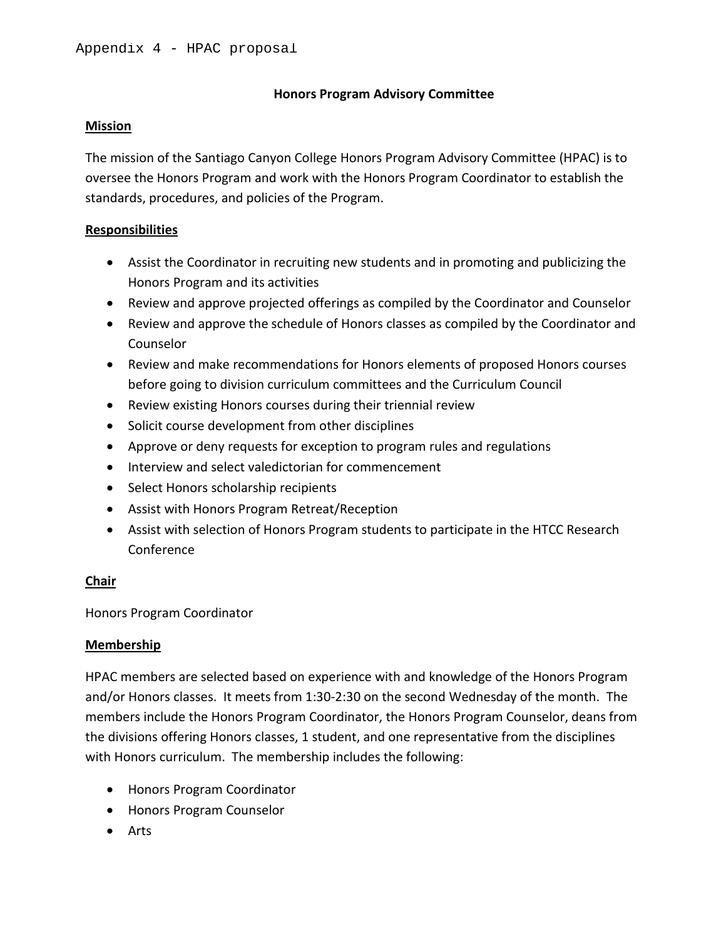#### **Honors Program Advisory Committee**

#### **Mission**

The mission of the Santiago Canyon College Honors Program Advisory Committee (HPAC) is to oversee the Honors Program and work with the Honors Program Coordinator to establish the standards, procedures, and policies of the Program.

#### **Responsibilities**

- Assist the Coordinator in recruiting new students and in promoting and publicizing the Honors Program and its activities
- Review and approve projected offerings as compiled by the Coordinator and Counselor
- Review and approve the schedule of Honors classes as compiled by the Coordinator and Counselor
- Review and make recommendations for Honors elements of proposed Honors courses before going to division curriculum committees and the Curriculum Council
- Review existing Honors courses during their triennial review
- Solicit course development from other disciplines
- Approve or deny requests for exception to program rules and regulations
- Interview and select valedictorian for commencement
- Select Honors scholarship recipients
- Assist with Honors Program Retreat/Reception
- Assist with selection of Honors Program students to participate in the HTCC Research Conference

#### **Chair**

Honors Program Coordinator

#### **Membership**

HPAC members are selected based on experience with and knowledge of the Honors Program and/or Honors classes. It meets from 1:30-2:30 on the second Wednesday of the month. The members include the Honors Program Coordinator, the Honors Program Counselor, deans from the divisions offering Honors classes, 1 student, and one representative from the disciplines with Honors curriculum. The membership includes the following:

- Honors Program Coordinator
- Honors Program Counselor
- Arts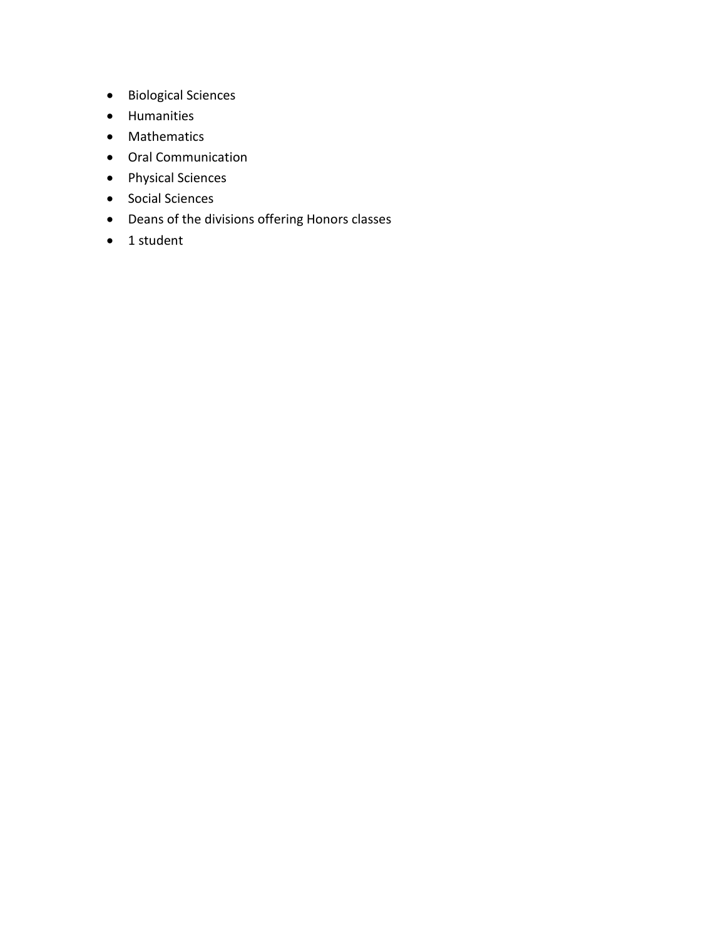- Biological Sciences
- Humanities
- Mathematics
- Oral Communication
- Physical Sciences
- Social Sciences
- Deans of the divisions offering Honors classes
- 1 student